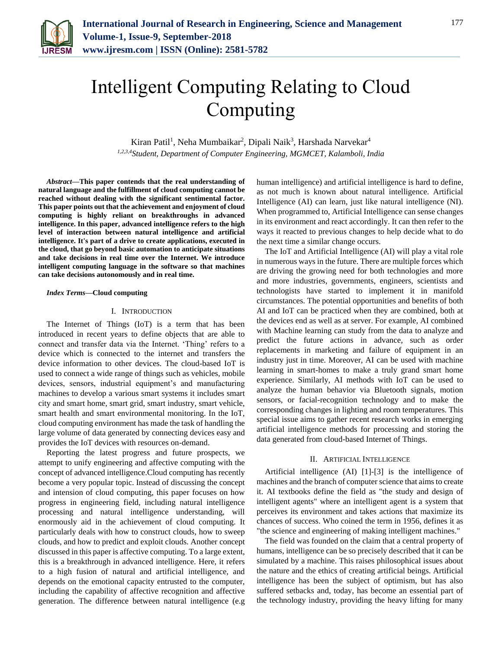

# Intelligent Computing Relating to Cloud Computing

Kiran Patil<sup>1</sup>, Neha Mumbaikar<sup>2</sup>, Dipali Naik<sup>3</sup>, Harshada Narvekar<sup>4</sup> *1,2,3,4Student, Department of Computer Engineering, MGMCET, Kalamboli, India*

*Abstract***—This paper contends that the real understanding of natural language and the fulfillment of cloud computing cannot be reached without dealing with the significant sentimental factor. This paper points out that the achievement and enjoyment of cloud computing is highly reliant on breakthroughs in advanced intelligence. In this paper, advanced intelligence refers to the high level of interaction between natural intelligence and artificial intelligence. It's part of a drive to create applications, executed in the cloud, that go beyond basic automation to anticipate situations and take decisions in real time over the Internet. We introduce intelligent computing language in the software so that machines can take decisions autonomously and in real time.**

#### *Index Terms***—Cloud computing**

## I. INTRODUCTION

The Internet of Things (IoT) is a term that has been introduced in recent years to define objects that are able to connect and transfer data via the Internet. 'Thing' refers to a device which is connected to the internet and transfers the device information to other devices. The cloud-based IoT is used to connect a wide range of things such as vehicles, mobile devices, sensors, industrial equipment's and manufacturing machines to develop a various smart systems it includes smart city and smart home, smart grid, smart industry, smart vehicle, smart health and smart environmental monitoring. In the IoT, cloud computing environment has made the task of handling the large volume of data generated by connecting devices easy and provides the IoT devices with resources on-demand.

Reporting the latest progress and future prospects, we attempt to unify engineering and affective computing with the concept of advanced intelligence.Cloud computing has recently become a very popular topic. Instead of discussing the concept and intension of cloud computing, this paper focuses on how progress in engineering field, including natural intelligence processing and natural intelligence understanding, will enormously aid in the achievement of cloud computing. It particularly deals with how to construct clouds, how to sweep clouds, and how to predict and exploit clouds. Another concept discussed in this paper is affective computing. To a large extent, this is a breakthrough in advanced intelligence. Here, it refers to a high fusion of natural and artificial intelligence, and depends on the emotional capacity entrusted to the computer, including the capability of affective recognition and affective generation. The difference between natural intelligence (e.g

human intelligence) and artificial intelligence is hard to define, as not much is known about natural intelligence. Artificial Intelligence (AI) can learn, just like natural intelligence (NI). When programmed to, Artificial Intelligence can sense changes in its environment and react accordingly. It can then refer to the ways it reacted to previous changes to help decide what to do the next time a similar change occurs.

The IoT and Artificial Intelligence (AI) will play a vital role in numerous ways in the future. There are multiple forces which are driving the growing need for both technologies and more and more industries, governments, engineers, scientists and technologists have started to implement it in manifold circumstances. The potential opportunities and benefits of both AI and IoT can be practiced when they are combined, both at the devices end as well as at server. For example, AI combined with Machine learning can study from the data to analyze and predict the future actions in advance, such as order replacements in marketing and failure of equipment in an industry just in time. Moreover, AI can be used with machine learning in smart-homes to make a truly grand smart home experience. Similarly, AI methods with IoT can be used to analyze the human behavior via Bluetooth signals, motion sensors, or facial-recognition technology and to make the corresponding changes in lighting and room temperatures. This special issue aims to gather recent research works in emerging artificial intelligence methods for processing and storing the data generated from cloud-based Internet of Things.

## II. ARTIFICIAL INTELLIGENCE

Artificial intelligence (AI) [1]-[3] is the intelligence of machines and the branch of computer science that aims to create it. AI textbooks define the field as "the study and design of intelligent agents" where an intelligent agent is a system that perceives its environment and takes actions that maximize its chances of success. Who coined the term in 1956, defines it as "the science and engineering of making intelligent machines."

The field was founded on the claim that a central property of humans, intelligence can be so precisely described that it can be simulated by a machine. This raises philosophical issues about the nature and the ethics of creating artificial beings. Artificial intelligence has been the subject of optimism, but has also suffered setbacks and, today, has become an essential part of the technology industry, providing the heavy lifting for many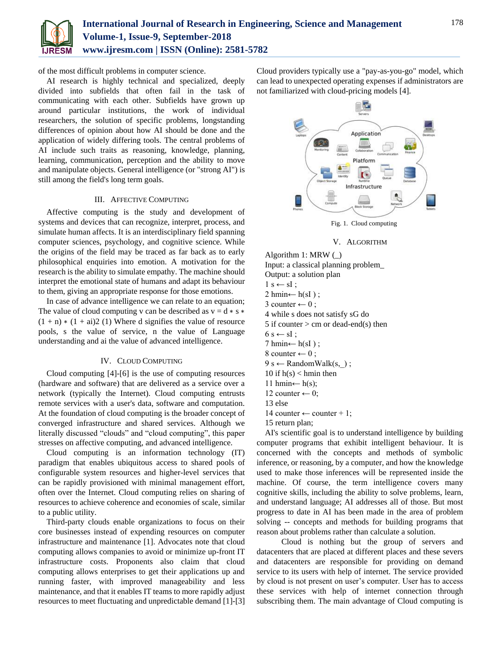

of the most difficult problems in computer science.

AI research is highly technical and specialized, deeply divided into subfields that often fail in the task of communicating with each other. Subfields have grown up around particular institutions, the work of individual researchers, the solution of specific problems, longstanding differences of opinion about how AI should be done and the application of widely differing tools. The central problems of AI include such traits as reasoning, knowledge, planning, learning, communication, perception and the ability to move and manipulate objects. General intelligence (or "strong AI") is still among the field's long term goals.

# III. AFFECTIVE COMPUTING

Affective computing is the study and development of systems and devices that can recognize, interpret, process, and simulate human affects. It is an interdisciplinary field spanning computer sciences, psychology, and cognitive science. While the origins of the field may be traced as far back as to early philosophical enquiries into emotion. A motivation for the research is the ability to simulate empathy. The machine should interpret the emotional state of humans and adapt its behaviour to them, giving an appropriate response for those emotions.

In case of advance intelligence we can relate to an equation; The value of cloud computing v can be described as  $v = d * s *$  $(1 + n) * (1 + ai)2$  (1) Where d signifies the value of resource pools, s the value of service, n the value of Language understanding and ai the value of advanced intelligence.

## IV. CLOUD COMPUTING

Cloud computing [4]-[6] is the use of computing resources (hardware and software) that are delivered as a service over a network (typically the Internet). Cloud computing entrusts remote services with a user's data, software and computation. At the foundation of cloud computing is the broader concept of converged infrastructure and shared services. Although we literally discussed "clouds" and "cloud computing", this paper stresses on affective computing, and advanced intelligence.

Cloud computing is an information technology (IT) paradigm that enables ubiquitous access to shared pools of configurable system resources and higher-level services that can be rapidly provisioned with minimal management effort, often over the Internet. Cloud computing relies on sharing of resources to achieve coherence and economies of scale, similar to a public utility.

Third-party clouds enable organizations to focus on their core businesses instead of expending resources on computer infrastructure and maintenance [1]. Advocates note that cloud computing allows companies to avoid or minimize up-front IT infrastructure costs. Proponents also claim that cloud computing allows enterprises to get their applications up and running faster, with improved manageability and less maintenance, and that it enables IT teams to more rapidly adjust resources to meet fluctuating and unpredictable demand [1]-[3]

Cloud providers typically use a "pay-as-you-go" model, which can lead to unexpected operating expenses if administrators are not familiarized with cloud-pricing models [4].



Fig. 1. Cloud computing

## V. ALGORITHM

Algorithm 1: MRW (\_) Input: a classical planning problem\_ Output: a solution plan  $1 s \leftarrow sI$ ;  $2 \text{ hmin} \leftarrow h(sI)$ ; 3 counter  $\leftarrow$  0 ; 4 while s does not satisfy sG do 5 if counter  $>$  cm or dead-end(s) then  $6 s \leftarrow sI;$  $7 \text{ hmin} \leftarrow h(sI)$ ; 8 counter  $\leftarrow$  0;  $9 s \leftarrow$  RandomWalk(s, ); 10 if  $h(s)$  < hmin then 11 hmin ←  $h(s)$ ; 12 counter  $\leftarrow$  0; 13 else 14 counter  $\leftarrow$  counter + 1; 15 return plan;

AI's scientific goal is to understand intelligence by building computer programs that exhibit intelligent behaviour. It is concerned with the concepts and methods of symbolic inference, or reasoning, by a computer, and how the knowledge used to make those inferences will be represented inside the machine. Of course, the term intelligence covers many cognitive skills, including the ability to solve problems, learn, and understand language; AI addresses all of those. But most progress to date in AI has been made in the area of problem solving -- concepts and methods for building programs that reason about problems rather than calculate a solution.

 Cloud is nothing but the group of servers and datacenters that are placed at different places and these severs and datacenters are responsible for providing on demand service to its users with help of internet. The service provided by cloud is not present on user's computer. User has to access these services with help of internet connection through subscribing them. The main advantage of Cloud computing is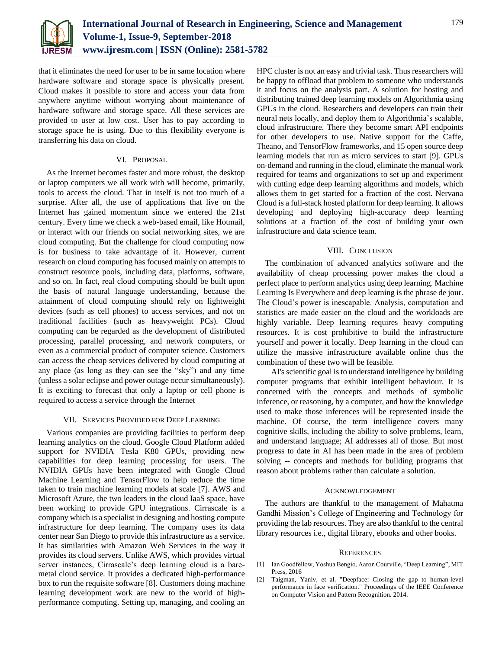

that it eliminates the need for user to be in same location where hardware software and storage space is physically present. Cloud makes it possible to store and access your data from anywhere anytime without worrying about maintenance of hardware software and storage space. All these services are provided to user at low cost. User has to pay according to storage space he is using. Due to this flexibility everyone is transferring his data on cloud.

## VI. PROPOSAL

As the Internet becomes faster and more robust, the desktop or laptop computers we all work with will become, primarily, tools to access the cloud. That in itself is not too much of a surprise. After all, the use of applications that live on the Internet has gained momentum since we entered the 21st century. Every time we check a web-based email, like Hotmail, or interact with our friends on social networking sites, we are cloud computing. But the challenge for cloud computing now is for business to take advantage of it. However, current research on cloud computing has focused mainly on attempts to construct resource pools, including data, platforms, software, and so on. In fact, real cloud computing should be built upon the basis of natural language understanding, because the attainment of cloud computing should rely on lightweight devices (such as cell phones) to access services, and not on traditional facilities (such as heavyweight PCs). Cloud computing can be regarded as the development of distributed processing, parallel processing, and network computers, or even as a commercial product of computer science. Customers can access the cheap services delivered by cloud computing at any place (as long as they can see the "sky") and any time (unless a solar eclipse and power outage occur simultaneously). It is exciting to forecast that only a laptop or cell phone is required to access a service through the Internet

## VII. SERVICES PROVIDED FOR DEEP LEARNING

Various companies are providing facilities to perform deep learning analytics on the cloud. Google Cloud Platform added support for NVIDIA Tesla K80 GPUs, providing new capabilities for deep learning processing for users. The NVIDIA GPUs have been integrated with Google Cloud Machine Learning and TensorFlow to help reduce the time taken to train machine learning models at scale [7]. AWS and Microsoft Azure, the two leaders in the cloud IaaS space, have been working to provide GPU integrations. Cirrascale is a company which is a specialist in designing and hosting compute infrastructure for deep learning. The company uses its data center near San Diego to provide this infrastructure as a service. It has similarities with Amazon Web Services in the way it provides its cloud servers. Unlike AWS, which provides virtual server instances, Cirrascale's deep learning cloud is a baremetal cloud service. It provides a dedicated high-performance box to run the requisite software [8]. Customers doing machine learning development work are new to the world of highperformance computing. Setting up, managing, and cooling an

HPC cluster is not an easy and trivial task. Thus researchers will be happy to offload that problem to someone who understands it and focus on the analysis part. A solution for hosting and distributing trained deep learning models on Algorithmia using GPUs in the cloud. Researchers and developers can train their neural nets locally, and deploy them to Algorithmia's scalable, cloud infrastructure. There they become smart API endpoints for other developers to use. Native support for the Caffe, Theano, and TensorFlow frameworks, and 15 open source deep learning models that run as micro services to start [9]. GPUs on-demand and running in the cloud, eliminate the manual work required for teams and organizations to set up and experiment with cutting edge deep learning algorithms and models, which allows them to get started for a fraction of the cost. Nervana Cloud is a full-stack hosted platform for deep learning. It allows developing and deploying high-accuracy deep learning solutions at a fraction of the cost of building your own infrastructure and data science team.

## VIII. CONCLUSION

The combination of advanced analytics software and the availability of cheap processing power makes the cloud a perfect place to perform analytics using deep learning. Machine Learning Is Everywhere and deep learning is the phrase de jour. The Cloud's power is inescapable. Analysis, computation and statistics are made easier on the cloud and the workloads are highly variable. Deep learning requires heavy computing resources. It is cost prohibitive to build the infrastructure yourself and power it locally. Deep learning in the cloud can utilize the massive infrastructure available online thus the combination of these two will be feasible.

 AI's scientific goal is to understand intelligence by building computer programs that exhibit intelligent behaviour. It is concerned with the concepts and methods of symbolic inference, or reasoning, by a computer, and how the knowledge used to make those inferences will be represented inside the machine. Of course, the term intelligence covers many cognitive skills, including the ability to solve problems, learn, and understand language; AI addresses all of those. But most progress to date in AI has been made in the area of problem solving -- concepts and methods for building programs that reason about problems rather than calculate a solution.

## ACKNOWLEDGEMENT

The authors are thankful to the management of Mahatma Gandhi Mission's College of Engineering and Technology for providing the lab resources. They are also thankful to the central library resources i.e., digital library, ebooks and other books.

#### **REFERENCES**

- [1] Ian Goodfellow, Yoshua Bengio, Aaron Courville, "Deep Learning", MIT Press, 2016
- [2] Taigman, Yaniv, et al. "Deepface: Closing the gap to human-level performance in face verification." Proceedings of the IEEE Conference on Computer Vision and Pattern Recognition. 2014.